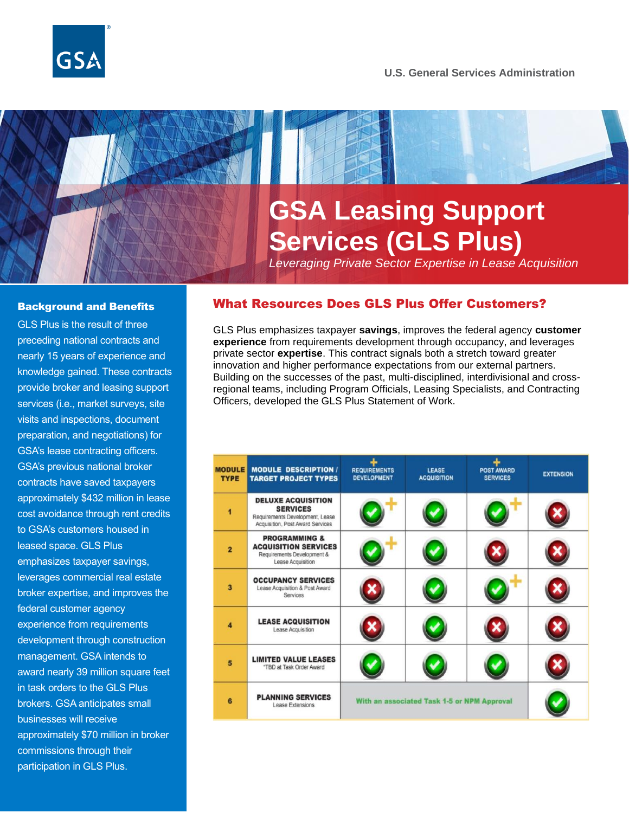#### **U.S. General Services Administration**

# **GSA Leasing Support Services (GLS Plus)**

*Leveraging Private Sector Expertise in Lease Acquisition*

#### Background and Benefits

GLS Plus is the result of three preceding national contracts and nearly 15 years of experience and knowledge gained. These contracts provide broker and leasing support services (i.e., market surveys, site visits and inspections, document preparation, and negotiations) for GSA's lease contracting officers. GSA's previous national broker contracts have saved taxpayers approximately \$432 million in lease cost avoidance through rent credits to GSA's customers housed in leased space. GLS Plus emphasizes taxpayer savings, leverages commercial real estate broker expertise, and improves the federal customer agency experience from requirements development through construction management. GSA intends to award nearly 39 million square feet in task orders to the GLS Plus brokers. GSA anticipates small businesses will receive approximately \$70 million in broker commissions through their participation in GLS Plus.

#### What Resources Does GLS Plus Offer Customers?

GLS Plus emphasizes taxpayer **savings**, improves the federal agency **customer experience** from requirements development through occupancy, and leverages private sector **expertise**. This contract signals both a stretch toward greater innovation and higher performance expectations from our external partners. Building on the successes of the past, multi-disciplined, interdivisional and crossregional teams, including Program Officials, Leasing Specialists, and Contracting Officers, developed the GLS Plus Statement of Work.